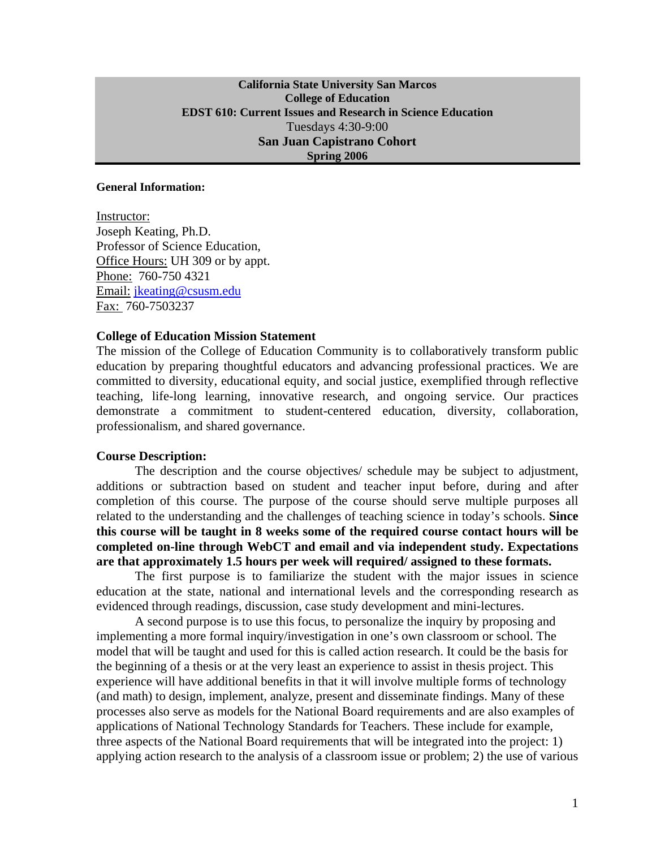#### **California State University San Marcos College of Education EDST 610: Current Issues and Research in Science Education**  Tuesdays 4:30-9:00 **San Juan Capistrano Cohort Spring 2006**

#### **General Information:**

Instructor: Joseph Keating, Ph.D. Professor of Science Education, Office Hours: UH 309 or by appt. Phone: 760-750 4321 Email: jkeating@csusm.edu Fax: 760-7503237

#### **College of Education Mission Statement**

The mission of the College of Education Community is to collaboratively transform public education by preparing thoughtful educators and advancing professional practices. We are committed to diversity, educational equity, and social justice, exemplified through reflective teaching, life-long learning, innovative research, and ongoing service. Our practices demonstrate a commitment to student-centered education, diversity, collaboration, professionalism, and shared governance.

#### **Course Description:**

The description and the course objectives/ schedule may be subject to adjustment, additions or subtraction based on student and teacher input before, during and after completion of this course. The purpose of the course should serve multiple purposes all related to the understanding and the challenges of teaching science in today's schools. **Since this course will be taught in 8 weeks some of the required course contact hours will be completed on-line through WebCT and email and via independent study. Expectations are that approximately 1.5 hours per week will required/ assigned to these formats.** 

The first purpose is to familiarize the student with the major issues in science education at the state, national and international levels and the corresponding research as evidenced through readings, discussion, case study development and mini-lectures.

A second purpose is to use this focus, to personalize the inquiry by proposing and implementing a more formal inquiry/investigation in one's own classroom or school. The model that will be taught and used for this is called action research. It could be the basis for the beginning of a thesis or at the very least an experience to assist in thesis project. This experience will have additional benefits in that it will involve multiple forms of technology (and math) to design, implement, analyze, present and disseminate findings. Many of these processes also serve as models for the National Board requirements and are also examples of applications of National Technology Standards for Teachers. These include for example, three aspects of the National Board requirements that will be integrated into the project: 1) applying action research to the analysis of a classroom issue or problem; 2) the use of various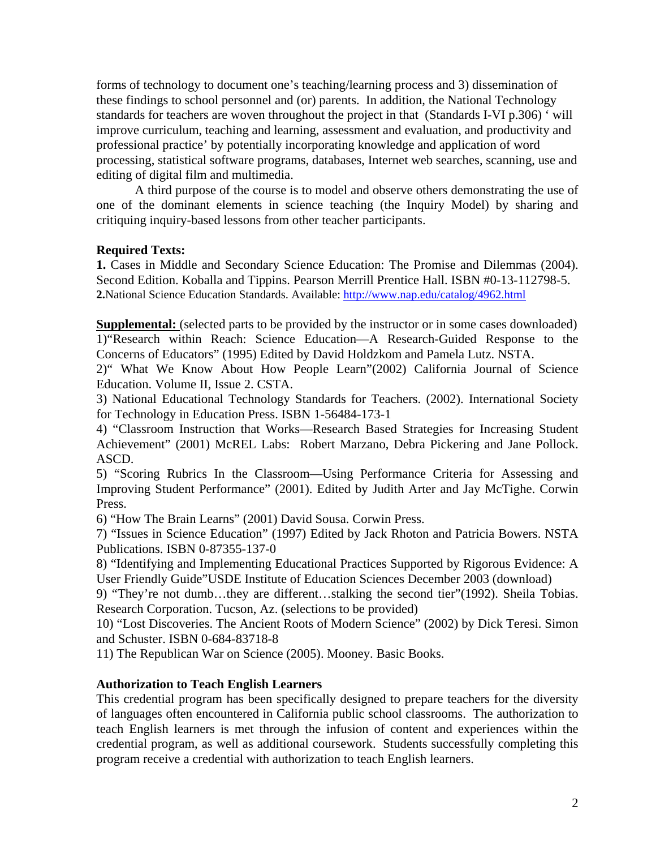forms of technology to document one's teaching/learning process and 3) dissemination of these findings to school personnel and (or) parents. In addition, the National Technology standards for teachers are woven throughout the project in that (Standards I-VI p.306) ' will improve curriculum, teaching and learning, assessment and evaluation, and productivity and professional practice' by potentially incorporating knowledge and application of word processing, statistical software programs, databases, Internet web searches, scanning, use and editing of digital film and multimedia.

A third purpose of the course is to model and observe others demonstrating the use of one of the dominant elements in science teaching (the Inquiry Model) by sharing and critiquing inquiry-based lessons from other teacher participants.

#### **Required Texts:**

**1.** Cases in Middle and Secondary Science Education: The Promise and Dilemmas (2004). Second Edition. Koballa and Tippins. Pearson Merrill Prentice Hall. ISBN #0-13-112798-5. **2.**National Science Education Standards. Available: http://www.nap.edu/catalog/4962.html

**Supplemental:** (selected parts to be provided by the instructor or in some cases downloaded) 1)"Research within Reach: Science Education—A Research-Guided Response to the Concerns of Educators" (1995) Edited by David Holdzkom and Pamela Lutz. NSTA.

2)" What We Know About How People Learn"(2002) California Journal of Science Education. Volume II, Issue 2. CSTA.

3) National Educational Technology Standards for Teachers. (2002). International Society for Technology in Education Press. ISBN 1-56484-173-1

4) "Classroom Instruction that Works—Research Based Strategies for Increasing Student Achievement" (2001) McREL Labs: Robert Marzano, Debra Pickering and Jane Pollock. ASCD.

5) "Scoring Rubrics In the Classroom—Using Performance Criteria for Assessing and Improving Student Performance" (2001). Edited by Judith Arter and Jay McTighe. Corwin Press.

6) "How The Brain Learns" (2001) David Sousa. Corwin Press.

7) "Issues in Science Education" (1997) Edited by Jack Rhoton and Patricia Bowers. NSTA Publications. ISBN 0-87355-137-0

8) "Identifying and Implementing Educational Practices Supported by Rigorous Evidence: A User Friendly Guide"USDE Institute of Education Sciences December 2003 (download)

9) "They're not dumb…they are different…stalking the second tier"(1992). Sheila Tobias. Research Corporation. Tucson, Az. (selections to be provided)

10) "Lost Discoveries. The Ancient Roots of Modern Science" (2002) by Dick Teresi. Simon and Schuster. ISBN 0-684-83718-8

11) The Republican War on Science (2005). Mooney. Basic Books.

### **Authorization to Teach English Learners**

This credential program has been specifically designed to prepare teachers for the diversity of languages often encountered in California public school classrooms. The authorization to teach English learners is met through the infusion of content and experiences within the credential program, as well as additional coursework. Students successfully completing this program receive a credential with authorization to teach English learners.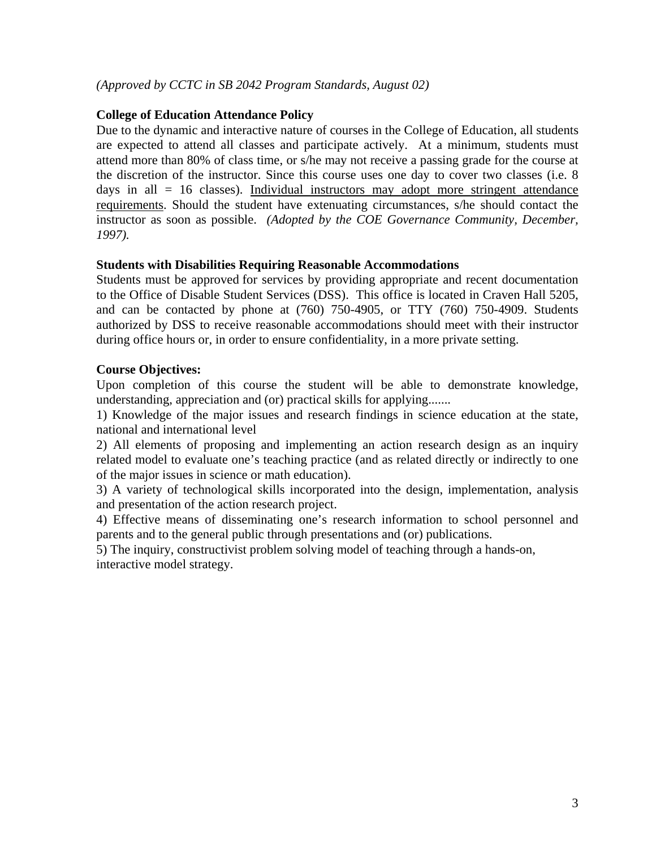### *(Approved by CCTC in SB 2042 Program Standards, August 02)*

#### **College of Education Attendance Policy**

Due to the dynamic and interactive nature of courses in the College of Education, all students are expected to attend all classes and participate actively. At a minimum, students must attend more than 80% of class time, or s/he may not receive a passing grade for the course at the discretion of the instructor. Since this course uses one day to cover two classes (i.e. 8 days in all  $= 16$  classes). Individual instructors may adopt more stringent attendance requirements. Should the student have extenuating circumstances, s/he should contact the instructor as soon as possible. *(Adopted by the COE Governance Community, December, 1997).*

#### **Students with Disabilities Requiring Reasonable Accommodations**

Students must be approved for services by providing appropriate and recent documentation to the Office of Disable Student Services (DSS). This office is located in Craven Hall 5205, and can be contacted by phone at  $(760)$   $750-4905$ , or TTY  $(760)$   $750-4909$ . Students authorized by DSS to receive reasonable accommodations should meet with their instructor during office hours or, in order to ensure confidentiality, in a more private setting.

#### **Course Objectives:**

Upon completion of this course the student will be able to demonstrate knowledge, understanding, appreciation and (or) practical skills for applying.......

1) Knowledge of the major issues and research findings in science education at the state, national and international level

2) All elements of proposing and implementing an action research design as an inquiry related model to evaluate one's teaching practice (and as related directly or indirectly to one of the major issues in science or math education).

3) A variety of technological skills incorporated into the design, implementation, analysis and presentation of the action research project.

4) Effective means of disseminating one's research information to school personnel and parents and to the general public through presentations and (or) publications.

5) The inquiry, constructivist problem solving model of teaching through a hands-on, interactive model strategy.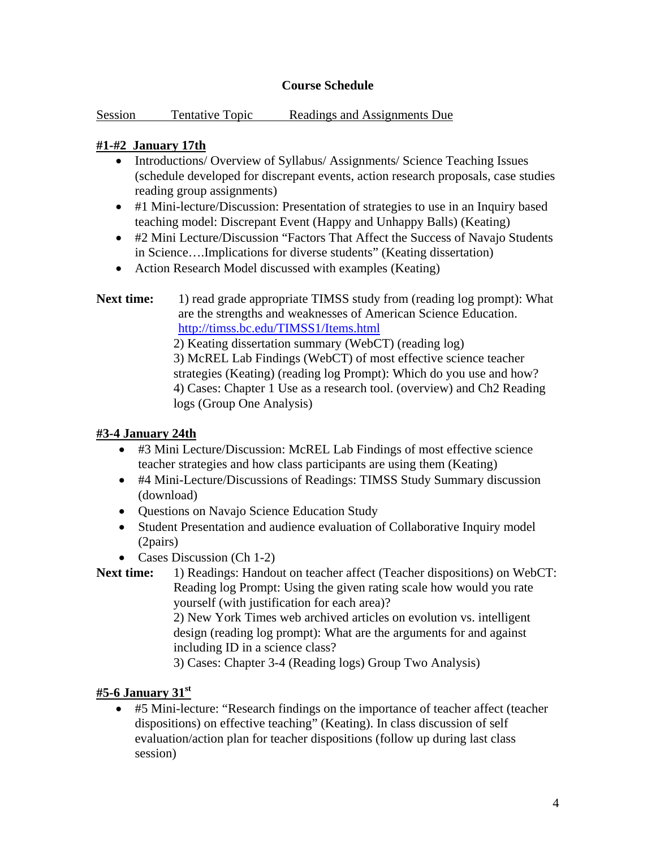## **Course Schedule**

| Session | Tentative Topic |  | Readings and Assignments Due |
|---------|-----------------|--|------------------------------|
|         |                 |  |                              |

## **#1-#2 January 17th**

- Introductions/ Overview of Syllabus/ Assignments/ Science Teaching Issues (schedule developed for discrepant events, action research proposals, case studies reading group assignments)
- #1 Mini-lecture/Discussion: Presentation of strategies to use in an Inquiry based teaching model: Discrepant Event (Happy and Unhappy Balls) (Keating)
- #2 Mini Lecture/Discussion "Factors That Affect the Success of Navajo Students in Science….Implications for diverse students" (Keating dissertation)
- Action Research Model discussed with examples (Keating)
- **Next time:** 1) read grade appropriate TIMSS study from (reading log prompt): What are the strengths and weaknesses of American Science Education. http://timss.bc.edu/TIMSS1/Items.html

2) Keating dissertation summary (WebCT) (reading log) 3) McREL Lab Findings (WebCT) of most effective science teacher strategies (Keating) (reading log Prompt): Which do you use and how? 4) Cases: Chapter 1 Use as a research tool. (overview) and Ch2 Reading logs (Group One Analysis)

### **#3-4 January 24th**

- #3 Mini Lecture/Discussion: McREL Lab Findings of most effective science teacher strategies and how class participants are using them (Keating)
- #4 Mini-Lecture/Discussions of Readings: TIMSS Study Summary discussion (download)
- Questions on Navajo Science Education Study
- Student Presentation and audience evaluation of Collaborative Inquiry model (2pairs)
- Cases Discussion (Ch 1-2)

```
Next time: 1) Readings: Handout on teacher affect (Teacher dispositions) on WebCT: 
  Reading log Prompt: Using the given rating scale how would you rate 
  yourself (with justification for each area)?
```
2) New York Times web archived articles on evolution vs. intelligent design (reading log prompt): What are the arguments for and against including ID in a science class?

3) Cases: Chapter 3-4 (Reading logs) Group Two Analysis)

# **#5-6 January 31st**

• #5 Mini-lecture: "Research findings on the importance of teacher affect (teacher dispositions) on effective teaching" (Keating). In class discussion of self evaluation/action plan for teacher dispositions (follow up during last class session)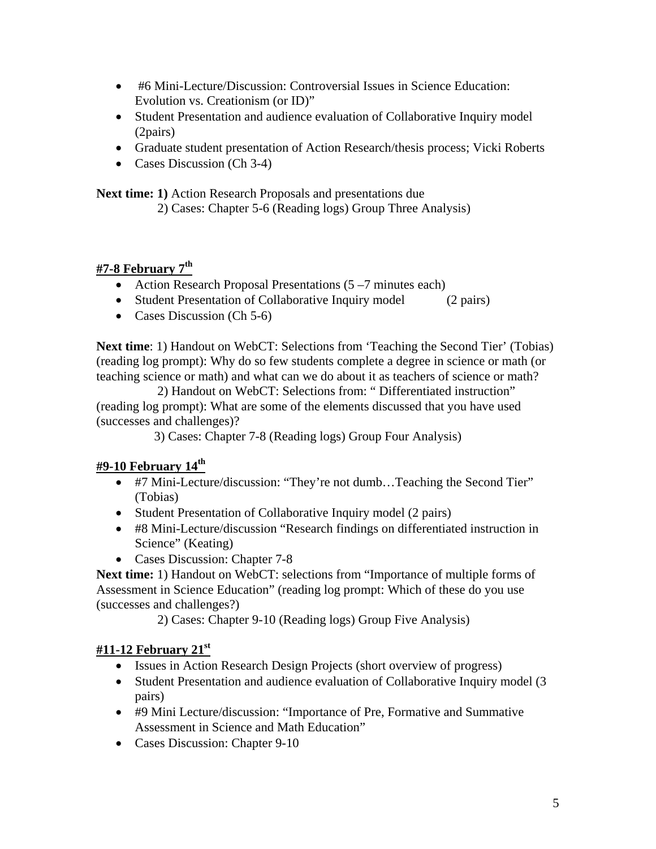- #6 Mini-Lecture/Discussion: Controversial Issues in Science Education: Evolution vs. Creationism (or ID)"
- Student Presentation and audience evaluation of Collaborative Inquiry model (2pairs)
- Graduate student presentation of Action Research/thesis process; Vicki Roberts
- Cases Discussion (Ch 3-4)

**Next time: 1)** Action Research Proposals and presentations due

2) Cases: Chapter 5-6 (Reading logs) Group Three Analysis)

# **#7-8 February 7th**

- Action Research Proposal Presentations (5–7 minutes each)
- Student Presentation of Collaborative Inquiry model (2 pairs)
- Cases Discussion (Ch 5-6)

**Next time**: 1) Handout on WebCT: Selections from 'Teaching the Second Tier' (Tobias) (reading log prompt): Why do so few students complete a degree in science or math (or teaching science or math) and what can we do about it as teachers of science or math?

 2) Handout on WebCT: Selections from: " Differentiated instruction" (reading log prompt): What are some of the elements discussed that you have used (successes and challenges)?

3) Cases: Chapter 7-8 (Reading logs) Group Four Analysis)

# **#9-10 February 14th**

- #7 Mini-Lecture/discussion: "They're not dumb...Teaching the Second Tier" (Tobias)
- Student Presentation of Collaborative Inquiry model (2 pairs)
- #8 Mini-Lecture/discussion "Research findings on differentiated instruction in Science" (Keating)
- Cases Discussion: Chapter 7-8

**Next time:** 1) Handout on WebCT: selections from "Importance of multiple forms of Assessment in Science Education" (reading log prompt: Which of these do you use (successes and challenges?)

2) Cases: Chapter 9-10 (Reading logs) Group Five Analysis)

# **#11-12 February 21st**

- Issues in Action Research Design Projects (short overview of progress)
- Student Presentation and audience evaluation of Collaborative Inquiry model (3) pairs)
- #9 Mini Lecture/discussion: "Importance of Pre, Formative and Summative Assessment in Science and Math Education"
- Cases Discussion: Chapter 9-10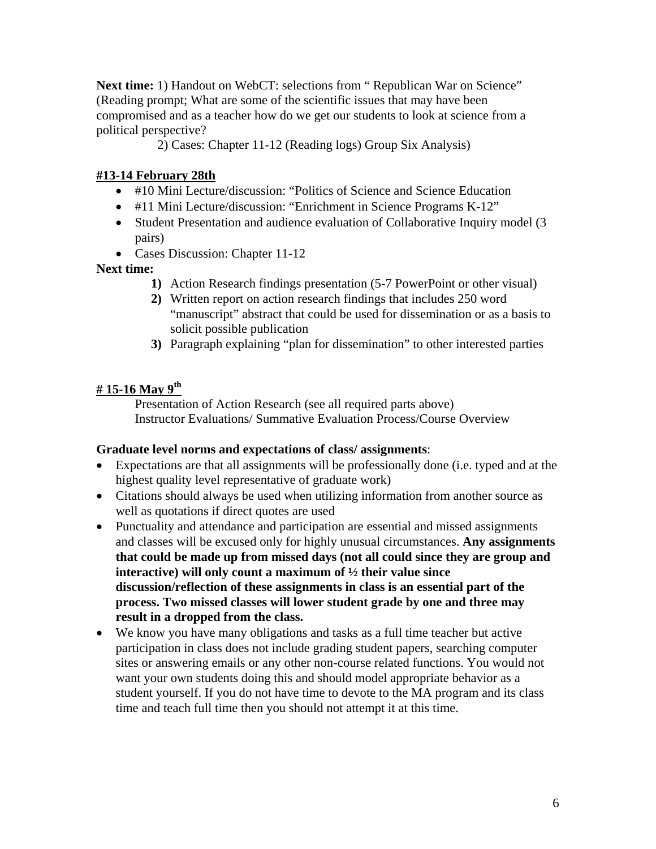Next time: 1) Handout on WebCT: selections from "Republican War on Science" (Reading prompt; What are some of the scientific issues that may have been compromised and as a teacher how do we get our students to look at science from a political perspective?

2) Cases: Chapter 11-12 (Reading logs) Group Six Analysis)

# **#13-14 February 28th**

- #10 Mini Lecture/discussion: "Politics of Science and Science Education
- #11 Mini Lecture/discussion: "Enrichment in Science Programs K-12"
- Student Presentation and audience evaluation of Collaborative Inquiry model (3) pairs)
- Cases Discussion: Chapter 11-12

# **Next time:**

- **1)** Action Research findings presentation (5-7 PowerPoint or other visual)
- **2)** Written report on action research findings that includes 250 word "manuscript" abstract that could be used for dissemination or as a basis to solicit possible publication
- **3)** Paragraph explaining "plan for dissemination" to other interested parties

# **# 15-16 May 9th**

Presentation of Action Research (see all required parts above) Instructor Evaluations/ Summative Evaluation Process/Course Overview

# **Graduate level norms and expectations of class/ assignments**:

- Expectations are that all assignments will be professionally done (i.e. typed and at the highest quality level representative of graduate work)
- Citations should always be used when utilizing information from another source as well as quotations if direct quotes are used
- Punctuality and attendance and participation are essential and missed assignments and classes will be excused only for highly unusual circumstances. **Any assignments that could be made up from missed days (not all could since they are group and interactive) will only count a maximum of ½ their value since discussion/reflection of these assignments in class is an essential part of the process. Two missed classes will lower student grade by one and three may result in a dropped from the class.**
- We know you have many obligations and tasks as a full time teacher but active participation in class does not include grading student papers, searching computer sites or answering emails or any other non-course related functions. You would not want your own students doing this and should model appropriate behavior as a student yourself. If you do not have time to devote to the MA program and its class time and teach full time then you should not attempt it at this time.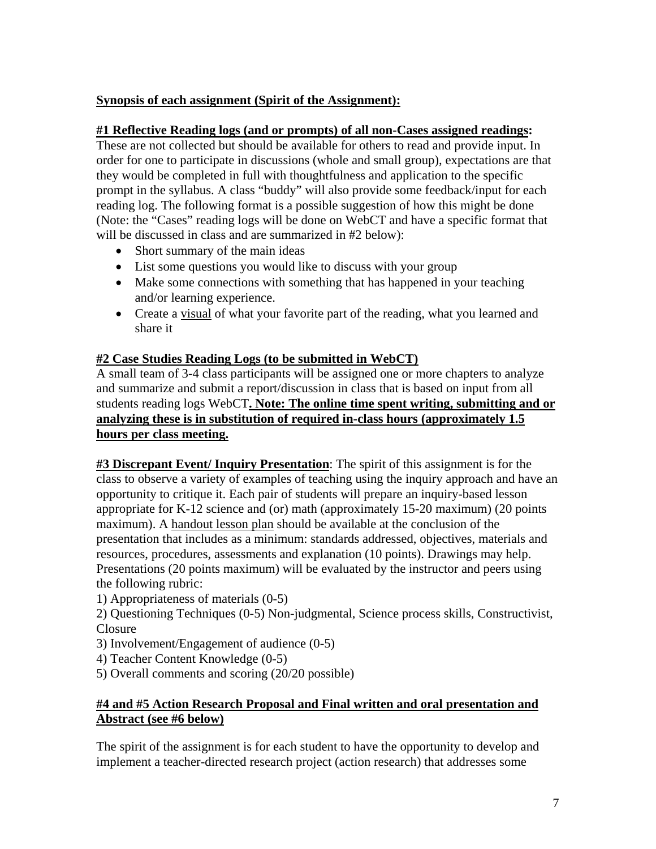# **Synopsis of each assignment (Spirit of the Assignment):**

#### **#1 Reflective Reading logs (and or prompts) of all non-Cases assigned readings:**

These are not collected but should be available for others to read and provide input. In order for one to participate in discussions (whole and small group), expectations are that they would be completed in full with thoughtfulness and application to the specific prompt in the syllabus. A class "buddy" will also provide some feedback/input for each reading log. The following format is a possible suggestion of how this might be done (Note: the "Cases" reading logs will be done on WebCT and have a specific format that will be discussed in class and are summarized in #2 below):

- Short summary of the main ideas
- List some questions you would like to discuss with your group
- Make some connections with something that has happened in your teaching and/or learning experience.
- Create a visual of what your favorite part of the reading, what you learned and share it

### **#2 Case Studies Reading Logs (to be submitted in WebCT)**

A small team of 3-4 class participants will be assigned one or more chapters to analyze and summarize and submit a report/discussion in class that is based on input from all students reading logs WebCT**. Note: The online time spent writing, submitting and or analyzing these is in substitution of required in-class hours (approximately 1.5 hours per class meeting.**

**#3 Discrepant Event/ Inquiry Presentation**: The spirit of this assignment is for the class to observe a variety of examples of teaching using the inquiry approach and have an opportunity to critique it. Each pair of students will prepare an inquiry-based lesson appropriate for K-12 science and (or) math (approximately 15-20 maximum) (20 points maximum). A handout lesson plan should be available at the conclusion of the presentation that includes as a minimum: standards addressed, objectives, materials and resources, procedures, assessments and explanation (10 points). Drawings may help. Presentations (20 points maximum) will be evaluated by the instructor and peers using the following rubric:

1) Appropriateness of materials (0-5)

2) Questioning Techniques (0-5) Non-judgmental, Science process skills, Constructivist, Closure

- 3) Involvement/Engagement of audience (0-5)
- 4) Teacher Content Knowledge (0-5)
- 5) Overall comments and scoring (20/20 possible)

### **#4 and #5 Action Research Proposal and Final written and oral presentation and Abstract (see #6 below)**

The spirit of the assignment is for each student to have the opportunity to develop and implement a teacher-directed research project (action research) that addresses some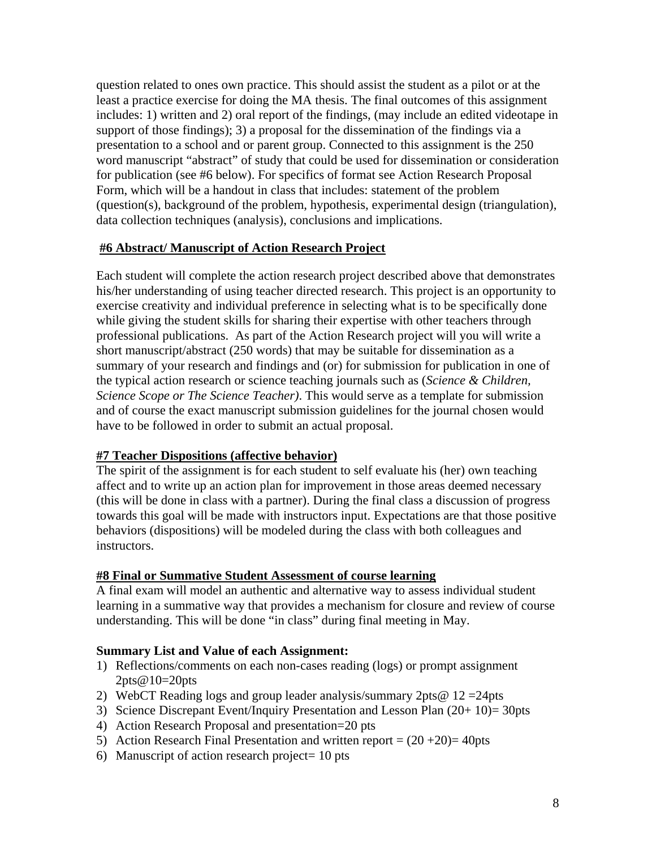question related to ones own practice. This should assist the student as a pilot or at the least a practice exercise for doing the MA thesis. The final outcomes of this assignment includes: 1) written and 2) oral report of the findings, (may include an edited videotape in support of those findings); 3) a proposal for the dissemination of the findings via a presentation to a school and or parent group. Connected to this assignment is the 250 word manuscript "abstract" of study that could be used for dissemination or consideration for publication (see #6 below). For specifics of format see Action Research Proposal Form, which will be a handout in class that includes: statement of the problem (question(s), background of the problem, hypothesis, experimental design (triangulation), data collection techniques (analysis), conclusions and implications.

#### **#6 Abstract/ Manuscript of Action Research Project**

Each student will complete the action research project described above that demonstrates his/her understanding of using teacher directed research. This project is an opportunity to exercise creativity and individual preference in selecting what is to be specifically done while giving the student skills for sharing their expertise with other teachers through professional publications. As part of the Action Research project will you will write a short manuscript/abstract (250 words) that may be suitable for dissemination as a summary of your research and findings and (or) for submission for publication in one of the typical action research or science teaching journals such as (*Science & Children, Science Scope or The Science Teacher)*. This would serve as a template for submission and of course the exact manuscript submission guidelines for the journal chosen would have to be followed in order to submit an actual proposal.

### **#7 Teacher Dispositions (affective behavior)**

The spirit of the assignment is for each student to self evaluate his (her) own teaching affect and to write up an action plan for improvement in those areas deemed necessary (this will be done in class with a partner). During the final class a discussion of progress towards this goal will be made with instructors input. Expectations are that those positive behaviors (dispositions) will be modeled during the class with both colleagues and instructors.

### **#8 Final or Summative Student Assessment of course learning**

A final exam will model an authentic and alternative way to assess individual student learning in a summative way that provides a mechanism for closure and review of course understanding. This will be done "in class" during final meeting in May.

### **Summary List and Value of each Assignment:**

- 1) Reflections/comments on each non-cases reading (logs) or prompt assignment 2pts@10=20pts
- 2) WebCT Reading logs and group leader analysis/summary  $2pts@ 12 = 24pts$
- 3) Science Discrepant Event/Inquiry Presentation and Lesson Plan (20+ 10)= 30pts
- 4) Action Research Proposal and presentation=20 pts
- 5) Action Research Final Presentation and written report =  $(20 + 20)$  = 40pts
- 6) Manuscript of action research project= 10 pts